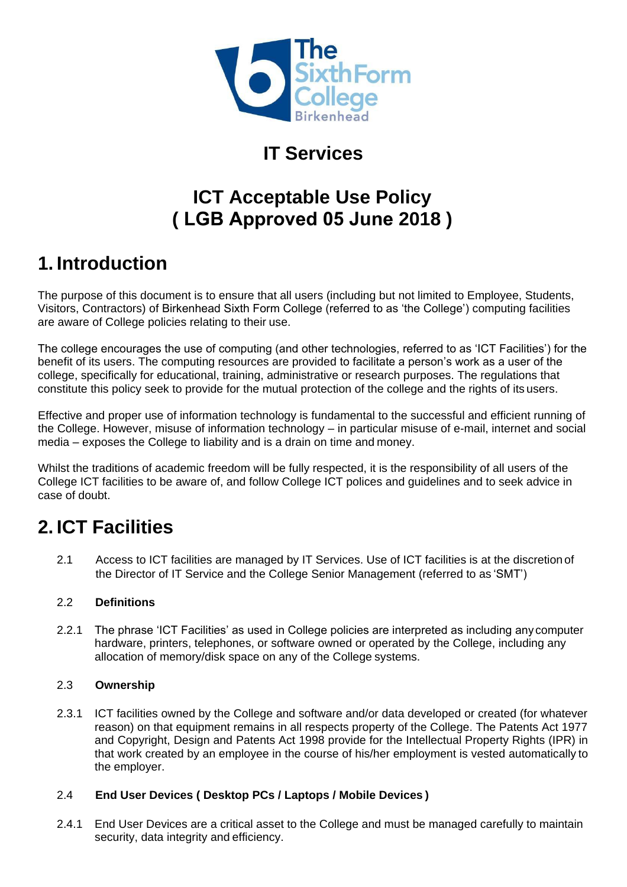

# **IT Services**

# **ICT Acceptable Use Policy ( LGB Approved 05 June 2018 )**

# **1. Introduction**

The purpose of this document is to ensure that all users (including but not limited to Employee, Students, Visitors, Contractors) of Birkenhead Sixth Form College (referred to as 'the College') computing facilities are aware of College policies relating to their use.

The college encourages the use of computing (and other technologies, referred to as 'ICT Facilities') for the benefit of its users. The computing resources are provided to facilitate a person's work as a user of the college, specifically for educational, training, administrative or research purposes. The regulations that constitute this policy seek to provide for the mutual protection of the college and the rights of its users.

Effective and proper use of information technology is fundamental to the successful and efficient running of the College. However, misuse of information technology – in particular misuse of e-mail, internet and social media – exposes the College to liability and is a drain on time and money.

Whilst the traditions of academic freedom will be fully respected, it is the responsibility of all users of the College ICT facilities to be aware of, and follow College ICT polices and guidelines and to seek advice in case of doubt.

# **2. ICT Facilities**

2.1 Access to ICT facilities are managed by IT Services. Use of ICT facilities is at the discretion of the Director of IT Service and the College Senior Management (referred to as 'SMT')

### 2.2 **Definitions**

2.2.1 The phrase 'ICT Facilities' as used in College policies are interpreted as including any computer hardware, printers, telephones, or software owned or operated by the College, including any allocation of memory/disk space on any of the College systems.

### 2.3 **Ownership**

2.3.1 ICT facilities owned by the College and software and/or data developed or created (for whatever reason) on that equipment remains in all respects property of the College. The Patents Act 1977 and Copyright, Design and Patents Act 1998 provide for the Intellectual Property Rights (IPR) in that work created by an employee in the course of his/her employment is vested automatically to the employer.

### 2.4 **End User Devices ( Desktop PCs / Laptops / Mobile Devices )**

2.4.1 End User Devices are a critical asset to the College and must be managed carefully to maintain security, data integrity and efficiency.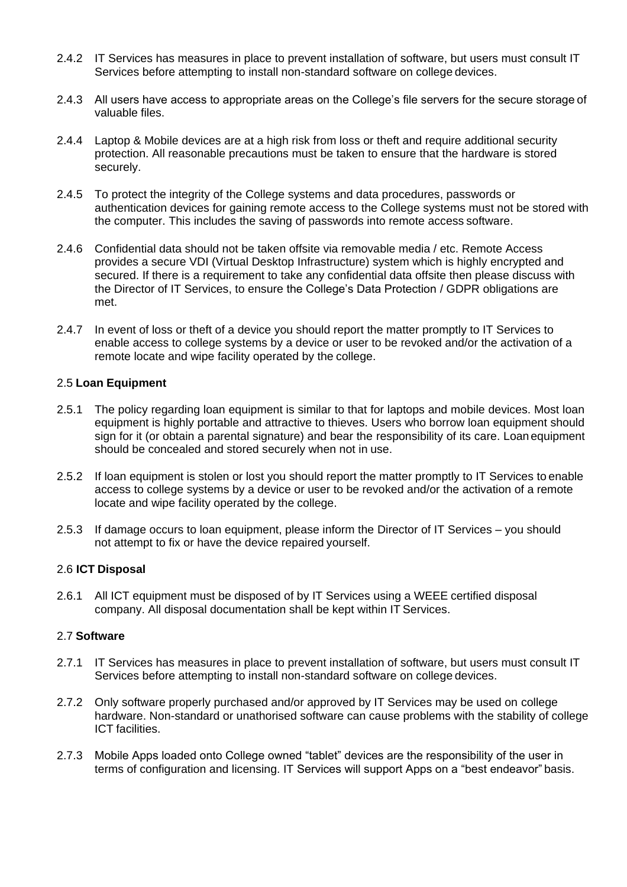- 2.4.2 IT Services has measures in place to prevent installation of software, but users must consult IT Services before attempting to install non-standard software on college devices.
- 2.4.3 All users have access to appropriate areas on the College's file servers for the secure storage of valuable files.
- 2.4.4 Laptop & Mobile devices are at a high risk from loss or theft and require additional security protection. All reasonable precautions must be taken to ensure that the hardware is stored securely.
- 2.4.5 To protect the integrity of the College systems and data procedures, passwords or authentication devices for gaining remote access to the College systems must not be stored with the computer. This includes the saving of passwords into remote access software.
- 2.4.6 Confidential data should not be taken offsite via removable media / etc. Remote Access provides a secure VDI (Virtual Desktop Infrastructure) system which is highly encrypted and secured. If there is a requirement to take any confidential data offsite then please discuss with the Director of IT Services, to ensure the College's Data Protection / GDPR obligations are met.
- 2.4.7 In event of loss or theft of a device you should report the matter promptly to IT Services to enable access to college systems by a device or user to be revoked and/or the activation of a remote locate and wipe facility operated by the college.

#### 2.5 **Loan Equipment**

- 2.5.1 The policy regarding loan equipment is similar to that for laptops and mobile devices. Most loan equipment is highly portable and attractive to thieves. Users who borrow loan equipment should sign for it (or obtain a parental signature) and bear the responsibility of its care. Loan equipment should be concealed and stored securely when not in use.
- 2.5.2 If loan equipment is stolen or lost you should report the matter promptly to IT Services to enable access to college systems by a device or user to be revoked and/or the activation of a remote locate and wipe facility operated by the college.
- 2.5.3 If damage occurs to loan equipment, please inform the Director of IT Services you should not attempt to fix or have the device repaired yourself.

#### 2.6 **ICT Disposal**

2.6.1 All ICT equipment must be disposed of by IT Services using a WEEE certified disposal company. All disposal documentation shall be kept within IT Services.

#### 2.7 **Software**

- 2.7.1 IT Services has measures in place to prevent installation of software, but users must consult IT Services before attempting to install non-standard software on college devices.
- 2.7.2 Only software properly purchased and/or approved by IT Services may be used on college hardware. Non-standard or unathorised software can cause problems with the stability of college ICT facilities.
- 2.7.3 Mobile Apps loaded onto College owned "tablet" devices are the responsibility of the user in terms of configuration and licensing. IT Services will support Apps on a "best endeavor" basis.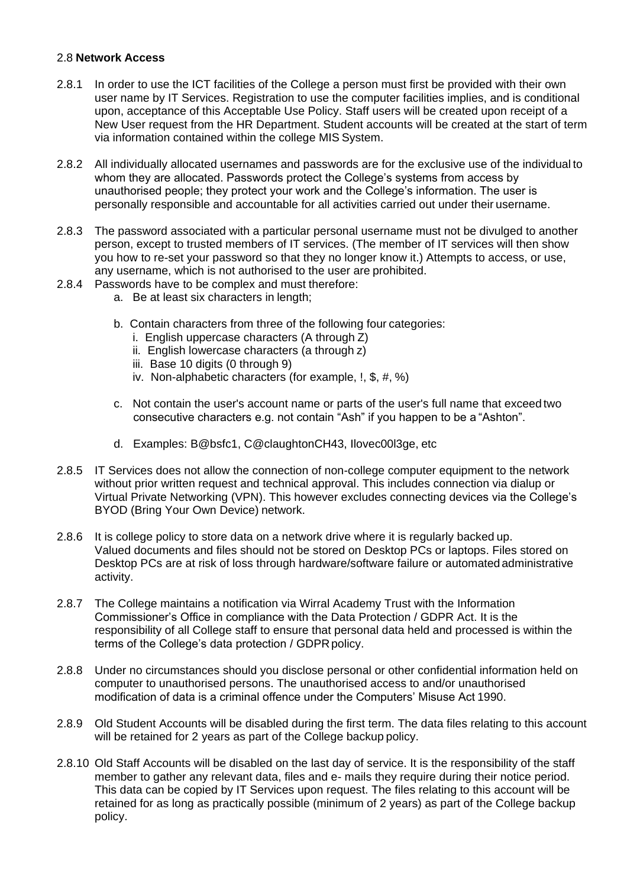#### 2.8 **Network Access**

- 2.8.1 In order to use the ICT facilities of the College a person must first be provided with their own user name by IT Services. Registration to use the computer facilities implies, and is conditional upon, acceptance of this Acceptable Use Policy. Staff users will be created upon receipt of a New User request from the HR Department. Student accounts will be created at the start of term via information contained within the college MIS System.
- 2.8.2 All individually allocated usernames and passwords are for the exclusive use of the individual to whom they are allocated. Passwords protect the College's systems from access by unauthorised people; they protect your work and the College's information. The user is personally responsible and accountable for all activities carried out under their username.
- 2.8.3 The password associated with a particular personal username must not be divulged to another person, except to trusted members of IT services. (The member of IT services will then show you how to re-set your password so that they no longer know it.) Attempts to access, or use, any username, which is not authorised to the user are prohibited.
- 2.8.4 Passwords have to be complex and must therefore:
	- a. Be at least six characters in length;
	- b. Contain characters from three of the following four categories:
		- i. English uppercase characters (A through Z)
		- ii. English lowercase characters (a through z)
		- iii. Base 10 digits (0 through 9)
		- iv. Non-alphabetic characters (for example, !, \$, #, %)
	- c. Not contain the user's account name or parts of the user's full name that exceed two consecutive characters e.g. not contain "Ash" if you happen to be a "Ashton".
	- d. Examples: B@bsfc1, C@claughtonCH43, Ilovec00l3ge, etc
- 2.8.5 IT Services does not allow the connection of non-college computer equipment to the network without prior written request and technical approval. This includes connection via dialup or Virtual Private Networking (VPN). This however excludes connecting devices via the College's BYOD (Bring Your Own Device) network.
- 2.8.6 It is college policy to store data on a network drive where it is regularly backed up. Valued documents and files should not be stored on Desktop PCs or laptops. Files stored on Desktop PCs are at risk of loss through hardware/software failure or automated administrative activity.
- 2.8.7 The College maintains a notification via Wirral Academy Trust with the Information Commissioner's Office in compliance with the Data Protection / GDPR Act. It is the responsibility of all College staff to ensure that personal data held and processed is within the terms of the College's data protection / GDPR policy.
- 2.8.8 Under no circumstances should you disclose personal or other confidential information held on computer to unauthorised persons. The unauthorised access to and/or unauthorised modification of data is a criminal offence under the Computers' Misuse Act 1990.
- 2.8.9 Old Student Accounts will be disabled during the first term. The data files relating to this account will be retained for 2 years as part of the College backup policy.
- 2.8.10 Old Staff Accounts will be disabled on the last day of service. It is the responsibility of the staff member to gather any relevant data, files and e- mails they require during their notice period. This data can be copied by IT Services upon request. The files relating to this account will be retained for as long as practically possible (minimum of 2 years) as part of the College backup policy.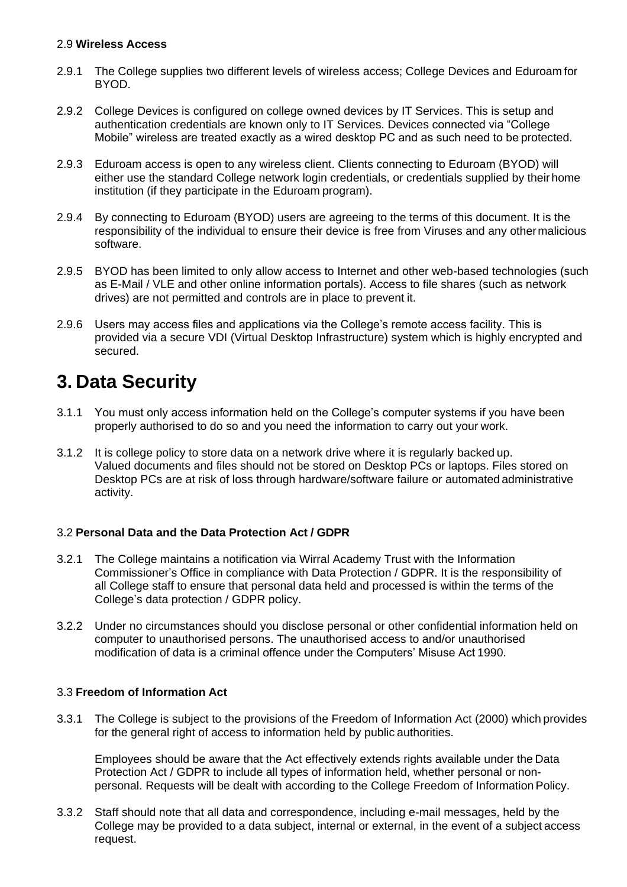#### 2.9 **Wireless Access**

- 2.9.1 The College supplies two different levels of wireless access; College Devices and Eduroam for BYOD.
- 2.9.2 College Devices is configured on college owned devices by IT Services. This is setup and authentication credentials are known only to IT Services. Devices connected via "College Mobile" wireless are treated exactly as a wired desktop PC and as such need to be protected.
- 2.9.3 Eduroam access is open to any wireless client. Clients connecting to Eduroam (BYOD) will either use the standard College network login credentials, or credentials supplied by their home institution (if they participate in the Eduroam program).
- 2.9.4 By connecting to Eduroam (BYOD) users are agreeing to the terms of this document. It is the responsibility of the individual to ensure their device is free from Viruses and any othermalicious software.
- 2.9.5 BYOD has been limited to only allow access to Internet and other web-based technologies (such as E-Mail / VLE and other online information portals). Access to file shares (such as network drives) are not permitted and controls are in place to prevent it.
- 2.9.6 Users may access files and applications via the College's remote access facility. This is provided via a secure VDI (Virtual Desktop Infrastructure) system which is highly encrypted and secured.

### **3. Data Security**

- 3.1.1 You must only access information held on the College's computer systems if you have been properly authorised to do so and you need the information to carry out your work.
- 3.1.2 It is college policy to store data on a network drive where it is regularly backed up. Valued documents and files should not be stored on Desktop PCs or laptops. Files stored on Desktop PCs are at risk of loss through hardware/software failure or automated administrative activity.

#### 3.2 **Personal Data and the Data Protection Act / GDPR**

- 3.2.1 The College maintains a notification via Wirral Academy Trust with the Information Commissioner's Office in compliance with Data Protection / GDPR. It is the responsibility of all College staff to ensure that personal data held and processed is within the terms of the College's data protection / GDPR policy.
- 3.2.2 Under no circumstances should you disclose personal or other confidential information held on computer to unauthorised persons. The unauthorised access to and/or unauthorised modification of data is a criminal offence under the Computers' Misuse Act 1990.

#### 3.3 **Freedom of Information Act**

3.3.1 The College is subject to the provisions of the Freedom of Information Act (2000) which provides for the general right of access to information held by public authorities.

Employees should be aware that the Act effectively extends rights available under the Data Protection Act / GDPR to include all types of information held, whether personal or nonpersonal. Requests will be dealt with according to the College Freedom of InformationPolicy.

3.3.2 Staff should note that all data and correspondence, including e-mail messages, held by the College may be provided to a data subject, internal or external, in the event of a subject access request.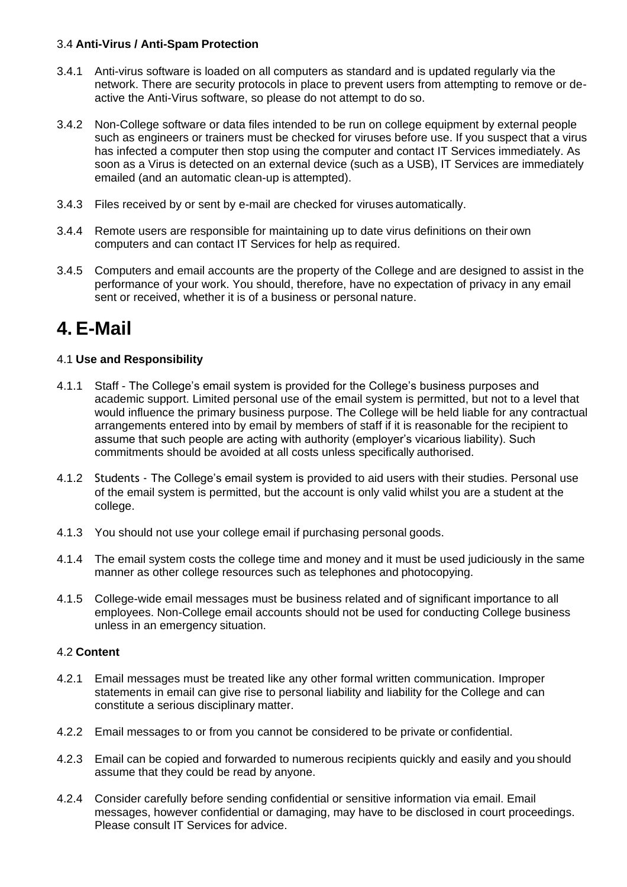#### 3.4 **Anti-Virus / Anti-Spam Protection**

- 3.4.1 Anti-virus software is loaded on all computers as standard and is updated regularly via the network. There are security protocols in place to prevent users from attempting to remove or deactive the Anti-Virus software, so please do not attempt to do so.
- 3.4.2 Non-College software or data files intended to be run on college equipment by external people such as engineers or trainers must be checked for viruses before use. If you suspect that a virus has infected a computer then stop using the computer and contact IT Services immediately. As soon as a Virus is detected on an external device (such as a USB), IT Services are immediately emailed (and an automatic clean-up is attempted).
- 3.4.3 Files received by or sent by e-mail are checked for viruses automatically.
- 3.4.4 Remote users are responsible for maintaining up to date virus definitions on their own computers and can contact IT Services for help as required.
- 3.4.5 Computers and email accounts are the property of the College and are designed to assist in the performance of your work. You should, therefore, have no expectation of privacy in any email sent or received, whether it is of a business or personal nature.

# **4. E-Mail**

### 4.1 **Use and Responsibility**

- 4.1.1 Staff The College's email system is provided for the College's business purposes and academic support. Limited personal use of the email system is permitted, but not to a level that would influence the primary business purpose. The College will be held liable for any contractual arrangements entered into by email by members of staff if it is reasonable for the recipient to assume that such people are acting with authority (employer's vicarious liability). Such commitments should be avoided at all costs unless specifically authorised.
- 4.1.2 Students The College's email system is provided to aid users with their studies. Personal use of the email system is permitted, but the account is only valid whilst you are a student at the college.
- 4.1.3 You should not use your college email if purchasing personal goods.
- 4.1.4 The email system costs the college time and money and it must be used judiciously in the same manner as other college resources such as telephones and photocopying.
- 4.1.5 College-wide email messages must be business related and of significant importance to all employees. Non-College email accounts should not be used for conducting College business unless in an emergency situation.

#### 4.2 **Content**

- 4.2.1 Email messages must be treated like any other formal written communication. Improper statements in email can give rise to personal liability and liability for the College and can constitute a serious disciplinary matter.
- 4.2.2 Email messages to or from you cannot be considered to be private or confidential.
- 4.2.3 Email can be copied and forwarded to numerous recipients quickly and easily and you should assume that they could be read by anyone.
- 4.2.4 Consider carefully before sending confidential or sensitive information via email. Email messages, however confidential or damaging, may have to be disclosed in court proceedings. Please consult IT Services for advice.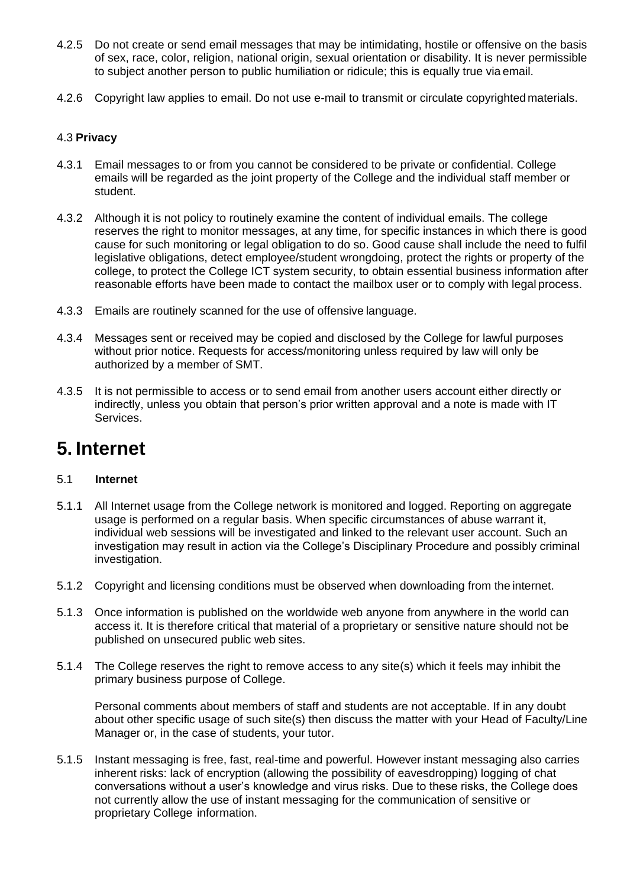- 4.2.5 Do not create or send email messages that may be intimidating, hostile or offensive on the basis of sex, race, color, religion, national origin, sexual orientation or disability. It is never permissible to subject another person to public humiliation or ridicule; this is equally true via email.
- 4.2.6 Copyright law applies to email. Do not use e-mail to transmit or circulate copyrighted materials.

#### 4.3 **Privacy**

- 4.3.1 Email messages to or from you cannot be considered to be private or confidential. College emails will be regarded as the joint property of the College and the individual staff member or student.
- 4.3.2 Although it is not policy to routinely examine the content of individual emails. The college reserves the right to monitor messages, at any time, for specific instances in which there is good cause for such monitoring or legal obligation to do so. Good cause shall include the need to fulfil legislative obligations, detect employee/student wrongdoing, protect the rights or property of the college, to protect the College ICT system security, to obtain essential business information after reasonable efforts have been made to contact the mailbox user or to comply with legal process.
- 4.3.3 Emails are routinely scanned for the use of offensive language.
- 4.3.4 Messages sent or received may be copied and disclosed by the College for lawful purposes without prior notice. Requests for access/monitoring unless required by law will only be authorized by a member of SMT.
- 4.3.5 It is not permissible to access or to send email from another users account either directly or indirectly, unless you obtain that person's prior written approval and a note is made with IT Services.

### **5. Internet**

#### 5.1 **Internet**

- 5.1.1 All Internet usage from the College network is monitored and logged. Reporting on aggregate usage is performed on a regular basis. When specific circumstances of abuse warrant it, individual web sessions will be investigated and linked to the relevant user account. Such an investigation may result in action via the College's Disciplinary Procedure and possibly criminal investigation.
- 5.1.2 Copyright and licensing conditions must be observed when downloading from the internet.
- 5.1.3 Once information is published on the worldwide web anyone from anywhere in the world can access it. It is therefore critical that material of a proprietary or sensitive nature should not be published on unsecured public web sites.
- 5.1.4 The College reserves the right to remove access to any site(s) which it feels may inhibit the primary business purpose of College.

Personal comments about members of staff and students are not acceptable. If in any doubt about other specific usage of such site(s) then discuss the matter with your Head of Faculty/Line Manager or, in the case of students, your tutor.

5.1.5 Instant messaging is free, fast, real-time and powerful. However instant messaging also carries inherent risks: lack of encryption (allowing the possibility of eavesdropping) logging of chat conversations without a user's knowledge and virus risks. Due to these risks, the College does not currently allow the use of instant messaging for the communication of sensitive or proprietary College information.